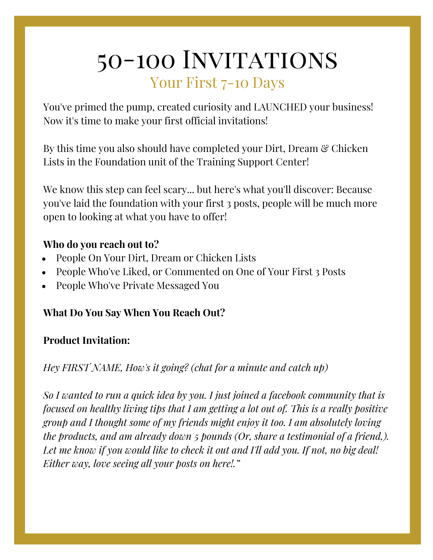# 50-100 INVITATIONS Your First 7-10 Days

You've primed the pump, created curiosity and LAUNCHED your business! Now it's time to make your first official invitations!

By this time you also should have completed your Dirt, Dream & Chicken Lists in the Foundation unit of the Training Support Center!

We know this step can feel scary... but here's what you'll discover: Because you've laid the foundation with your first 3 posts, people will be much more open to looking at what you have to offer!

### **Who do you reach out to?**

- People On Your Dirt, Dream or Chicken Lists
- People Who've Liked, or Commented on One of Your First 3 Posts
- People Who've Private Messaged You

## **What Do You Say When You Reach Out?**

#### **Product Invitation:**

## *Hey FIRST NAME, How's it going? (chat for a minute and catch up)*

*So I wanted to run a quick idea by you. I just joined a facebook community that is focused on healthy living tips that I am getting a lot out of. This is a really positive group and I thought some of my friends might enjoy it too. I am absolutely loving the products, and am already down 5 pounds (Or, share a testimonial of a friend,). Let me know if you would like to check it out and I'll add you. If not, no big deal! Either way, love seeing all your posts on here!."*